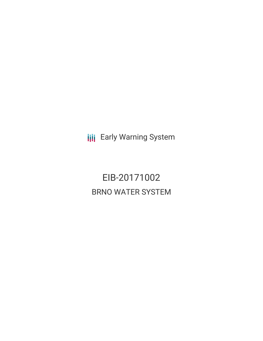**III** Early Warning System

EIB-20171002 BRNO WATER SYSTEM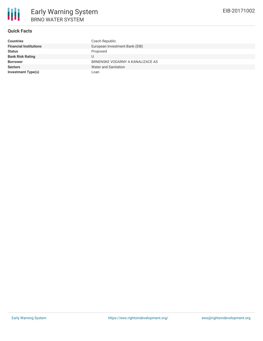

### **Quick Facts**

| <b>Countries</b>              | Czech Republic                   |
|-------------------------------|----------------------------------|
| <b>Financial Institutions</b> | European Investment Bank (EIB)   |
| <b>Status</b>                 | Proposed                         |
| <b>Bank Risk Rating</b>       |                                  |
| <b>Borrower</b>               | BRNENSKE VODARNY A KANALIZACE AS |
| <b>Sectors</b>                | Water and Sanitation             |
| <b>Investment Type(s)</b>     | Loan                             |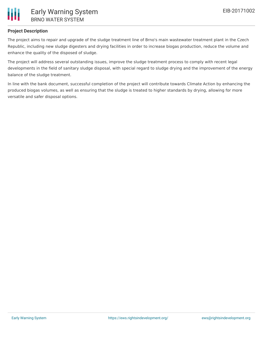

### **Project Description**

The project aims to repair and upgrade of the sludge treatment line of Brno's main wastewater treatment plant in the Czech Republic, including new sludge digesters and drying facilities in order to increase biogas production, reduce the volume and enhance the quality of the disposed of sludge.

The project will address several outstanding issues, improve the sludge treatment process to comply with recent legal developments in the field of sanitary sludge disposal, with special regard to sludge drying and the improvement of the energy balance of the sludge treatment.

In line with the bank document, successful completion of the project will contribute towards Climate Action by enhancing the produced biogas volumes, as well as ensuring that the sludge is treated to higher standards by drying, allowing for more versatile and safer disposal options.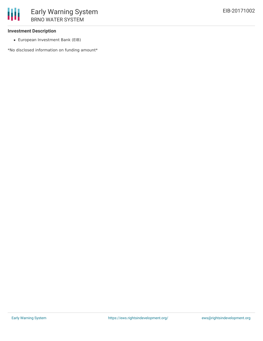#### **Investment Description**

European Investment Bank (EIB)

\*No disclosed information on funding amount\*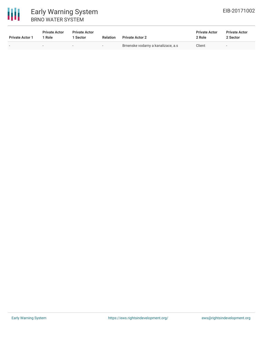

# 冊 Early Warning System BRNO WATER SYSTEM

| <b>Private Actor 1</b> | <b>Private Actor</b><br>1 Role | <b>Private Actor</b><br>1 Sector | <b>Relation</b> | <b>Private Actor 2</b>             | <b>Private Actor</b><br>2 Role | <b>Private Actor</b><br>2 Sector |
|------------------------|--------------------------------|----------------------------------|-----------------|------------------------------------|--------------------------------|----------------------------------|
|                        | $\sim$                         |                                  |                 | Brnenske vodarny a kanalizace, a.s | Client                         | . .                              |